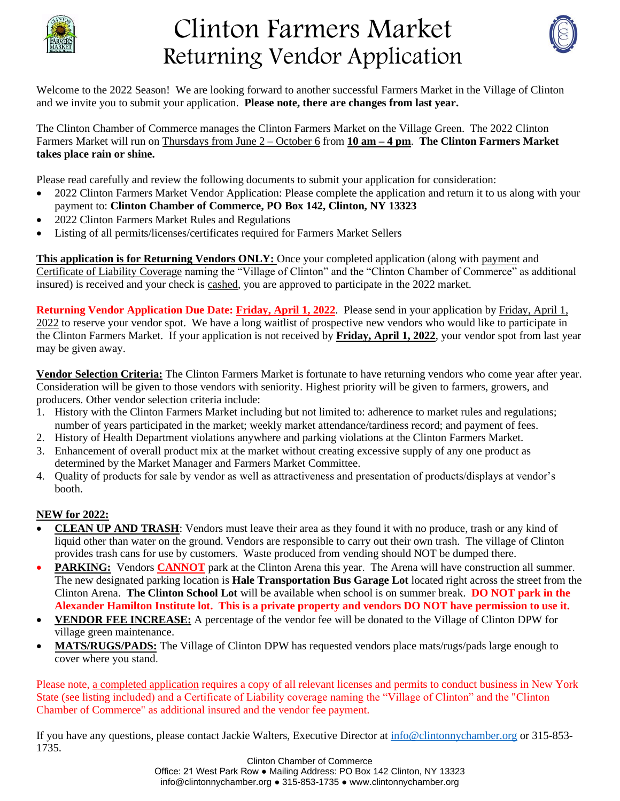

# Clinton Farmers Market Returning Vendor Application



Welcome to the 2022 Season! We are looking forward to another successful Farmers Market in the Village of Clinton and we invite you to submit your application. **Please note, there are changes from last year.** 

The Clinton Chamber of Commerce manages the Clinton Farmers Market on the Village Green. The 2022 Clinton Farmers Market will run on Thursdays from June 2 – October 6 from **10 am – 4 pm**. **The Clinton Farmers Market takes place rain or shine.** 

Please read carefully and review the following documents to submit your application for consideration:

- 2022 Clinton Farmers Market Vendor Application: Please complete the application and return it to us along with your payment to: **Clinton Chamber of Commerce, PO Box 142, Clinton, NY 13323**
- 2022 Clinton Farmers Market Rules and Regulations
- Listing of all permits/licenses/certificates required for Farmers Market Sellers

**This application is for Returning Vendors ONLY:** Once your completed application (along with payment and Certificate of Liability Coverage naming the "Village of Clinton" and the "Clinton Chamber of Commerce" as additional insured) is received and your check is cashed, you are approved to participate in the 2022 market.

**Returning Vendor Application Due Date: Friday, April 1, 2022**. Please send in your application by Friday, April 1, 2022 to reserve your vendor spot. We have a long waitlist of prospective new vendors who would like to participate in the Clinton Farmers Market. If your application is not received by **Friday, April 1, 2022**, your vendor spot from last year may be given away.

**Vendor Selection Criteria:** The Clinton Farmers Market is fortunate to have returning vendors who come year after year. Consideration will be given to those vendors with seniority. Highest priority will be given to farmers, growers, and producers. Other vendor selection criteria include:

- 1. History with the Clinton Farmers Market including but not limited to: adherence to market rules and regulations; number of years participated in the market; weekly market attendance/tardiness record; and payment of fees.
- 2. History of Health Department violations anywhere and parking violations at the Clinton Farmers Market.
- 3. Enhancement of overall product mix at the market without creating excessive supply of any one product as determined by the Market Manager and Farmers Market Committee.
- 4. Quality of products for sale by vendor as well as attractiveness and presentation of products/displays at vendor's booth.

#### **NEW for 2022:**

- **CLEAN UP AND TRASH**: Vendors must leave their area as they found it with no produce, trash or any kind of liquid other than water on the ground. Vendors are responsible to carry out their own trash. The village of Clinton provides trash cans for use by customers. Waste produced from vending should NOT be dumped there.
- **PARKING:** Vendors **CANNOT** park at the Clinton Arena this year. The Arena will have construction all summer. The new designated parking location is **Hale Transportation Bus Garage Lot** located right across the street from the Clinton Arena. **The Clinton School Lot** will be available when school is on summer break. **DO NOT park in the Alexander Hamilton Institute lot. This is a private property and vendors DO NOT have permission to use it.**
- **VENDOR FEE INCREASE:** A percentage of the vendor fee will be donated to the Village of Clinton DPW for village green maintenance.
- **MATS/RUGS/PADS:** The Village of Clinton DPW has requested vendors place mats/rugs/pads large enough to cover where you stand.

Please note, a completed application requires a copy of all relevant licenses and permits to conduct business in New York State (see listing included) and a Certificate of Liability coverage naming the "Village of Clinton" and the "Clinton Chamber of Commerce" as additional insured and the vendor fee payment.

If you have any questions, please contact Jackie Walters, Executive Director at [info@clintonnychamber.org](mailto:info@clintonnychamber.org) or 315-853- 1735.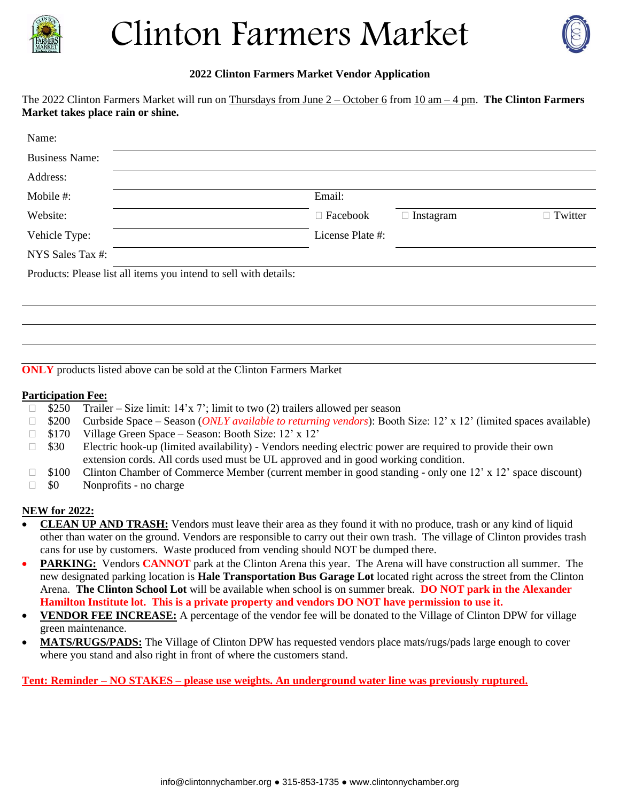

# Clinton Farmers Market



#### **2022 Clinton Farmers Market Vendor Application**

The 2022 Clinton Farmers Market will run on Thursdays from June 2 – October 6 from 10 am – 4 pm. **The Clinton Farmers Market takes place rain or shine.** 

| Name:                                                            |                  |                  |                |
|------------------------------------------------------------------|------------------|------------------|----------------|
| <b>Business Name:</b>                                            |                  |                  |                |
| Address:                                                         |                  |                  |                |
| Mobile #:                                                        | Email:           |                  |                |
| Website:                                                         | $\Box$ Facebook  | $\Box$ Instagram | $\Box$ Twitter |
| Vehicle Type:                                                    | License Plate #: |                  |                |
| NYS Sales Tax #:                                                 |                  |                  |                |
| Products: Please list all items you intend to sell with details: |                  |                  |                |
|                                                                  |                  |                  |                |
|                                                                  |                  |                  |                |
|                                                                  |                  |                  |                |

**ONLY** products listed above can be sold at the Clinton Farmers Market

#### **Participation Fee:**

- $\Box$  \$250 Trailer Size limit: 14'x 7'; limit to two (2) trailers allowed per season
- \$200 Curbside Space Season (*ONLY available to returning vendors*): Booth Size: 12' x 12' (limited spaces available)
- □ \$170 Village Green Space Season: Booth Size: 12' x 12'
- $\Box$  \$30 Electric hook-up (limited availability) Vendors needing electric power are required to provide their own extension cords. All cords used must be UL approved and in good working condition.
- □ \$100 Clinton Chamber of Commerce Member (current member in good standing only one 12' x 12' space discount)
- $\Box$  \$0 Nonprofits no charge

#### **NEW for 2022:**

- **CLEAN UP AND TRASH:** Vendors must leave their area as they found it with no produce, trash or any kind of liquid other than water on the ground. Vendors are responsible to carry out their own trash. The village of Clinton provides trash cans for use by customers. Waste produced from vending should NOT be dumped there.
- **PARKING:** Vendors **CANNOT** park at the Clinton Arena this year. The Arena will have construction all summer. The new designated parking location is **Hale Transportation Bus Garage Lot** located right across the street from the Clinton Arena. **The Clinton School Lot** will be available when school is on summer break. **DO NOT park in the Alexander Hamilton Institute lot. This is a private property and vendors DO NOT have permission to use it.**
- **VENDOR FEE INCREASE:** A percentage of the vendor fee will be donated to the Village of Clinton DPW for village green maintenance.
- **MATS/RUGS/PADS:** The Village of Clinton DPW has requested vendors place mats/rugs/pads large enough to cover where you stand and also right in front of where the customers stand.

**Tent: Reminder – NO STAKES – please use weights. An underground water line was previously ruptured.**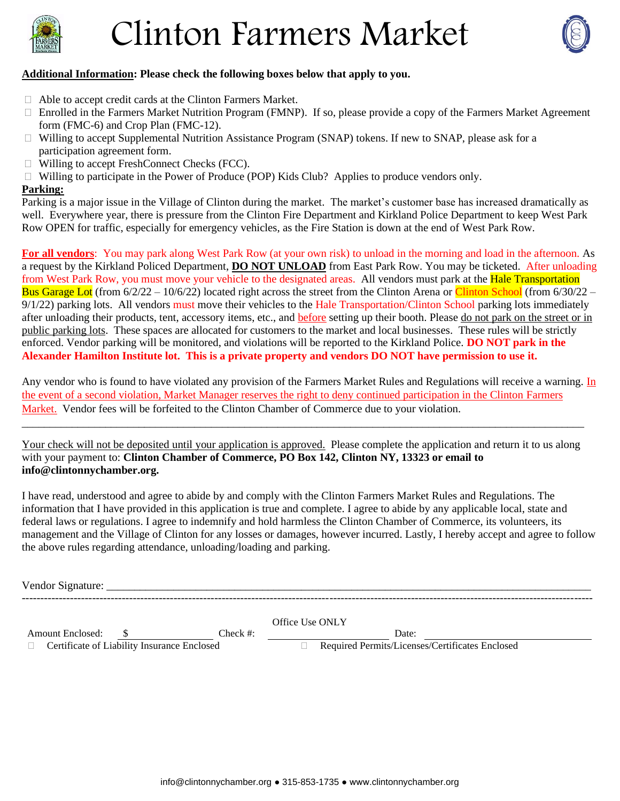

# Clinton Farmers Market



#### **Additional Information: Please check the following boxes below that apply to you.**

- Able to accept credit cards at the Clinton Farmers Market.
- $\Box$  Enrolled in the Farmers Market Nutrition Program (FMNP). If so, please provide a copy of the Farmers Market Agreement form (FMC-6) and Crop Plan (FMC-12).
- $\Box$  Willing to accept Supplemental Nutrition Assistance Program (SNAP) tokens. If new to SNAP, please ask for a participation agreement form.
- □ Willing to accept FreshConnect Checks (FCC).
- $\Box$  Willing to participate in the Power of Produce (POP) Kids Club? Applies to produce vendors only.

#### **Parking:**

Parking is a major issue in the Village of Clinton during the market. The market's customer base has increased dramatically as well. Everywhere year, there is pressure from the Clinton Fire Department and Kirkland Police Department to keep West Park Row OPEN for traffic, especially for emergency vehicles, as the Fire Station is down at the end of West Park Row.

**For all vendors**: You may park along West Park Row (at your own risk) to unload in the morning and load in the afternoon. As a request by the Kirkland Policed Department, **DO NOT UNLOAD** from East Park Row. You may be ticketed. After unloading from West Park Row, you must move your vehicle to the designated areas. All vendors must park at the **Hale Transportation** Bus Garage Lot (from  $6/2/22 - 10/6/22$ ) located right across the street from the Clinton Arena or Clinton School (from  $6/30/22 - 10/6/22$ ) 9/1/22) parking lots. All vendors must move their vehicles to the Hale Transportation/Clinton School parking lots immediately after unloading their products, tent, accessory items, etc., and before setting up their booth. Please do not park on the street or in public parking lots. These spaces are allocated for customers to the market and local businesses. These rules will be strictly enforced. Vendor parking will be monitored, and violations will be reported to the Kirkland Police. **DO NOT park in the Alexander Hamilton Institute lot. This is a private property and vendors DO NOT have permission to use it.**

Any vendor who is found to have violated any provision of the Farmers Market Rules and Regulations will receive a warning. In the event of a second violation, Market Manager reserves the right to deny continued participation in the Clinton Farmers Market. Vendor fees will be forfeited to the Clinton Chamber of Commerce due to your violation.

Your check will not be deposited until your application is approved. Please complete the application and return it to us along with your payment to: **Clinton Chamber of Commerce, PO Box 142, Clinton NY, 13323 or email to info@clintonnychamber.org.** 

\_\_\_\_\_\_\_\_\_\_\_\_\_\_\_\_\_\_\_\_\_\_\_\_\_\_\_\_\_\_\_\_\_\_\_\_\_\_\_\_\_\_\_\_\_\_\_\_\_\_\_\_\_\_\_\_\_\_\_\_\_\_\_\_\_\_\_\_\_\_\_\_\_\_\_\_\_\_\_\_\_\_\_\_\_\_\_\_\_\_\_\_\_\_\_\_\_\_\_\_\_

I have read, understood and agree to abide by and comply with the Clinton Farmers Market Rules and Regulations. The information that I have provided in this application is true and complete. I agree to abide by any applicable local, state and federal laws or regulations. I agree to indemnify and hold harmless the Clinton Chamber of Commerce, its volunteers, its management and the Village of Clinton for any losses or damages, however incurred. Lastly, I hereby accept and agree to follow the above rules regarding attendance, unloading/loading and parking.

Vendor Signature:

---------------------------------------------------------------------------------------------------------------------------------------------------------- Office Use ONLY Amount Enclosed:  $\frac{\$}{\_\}$  Check #:  $\frac{\_\}{\_\}$  Check #: Date: Date: Date: Dertificates Enclosed Dermits/Licenses/Certificates Enclosed  $\Box$  Certificate of Liability Insurance Enclosed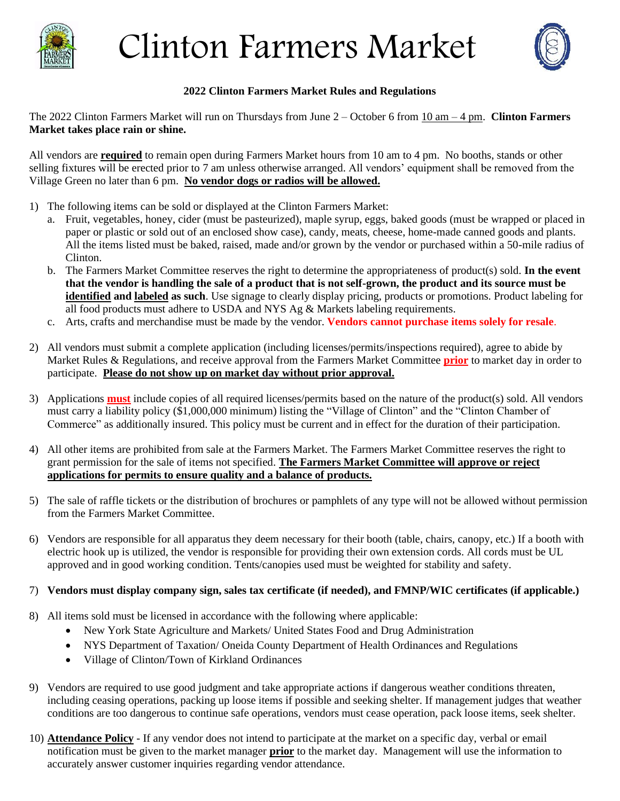

# Clinton Farmers Market



#### **2022 Clinton Farmers Market Rules and Regulations**

The 2022 Clinton Farmers Market will run on Thursdays from June 2 – October 6 from 10 am – 4 pm. **Clinton Farmers Market takes place rain or shine.** 

All vendors are **required** to remain open during Farmers Market hours from 10 am to 4 pm. No booths, stands or other selling fixtures will be erected prior to 7 am unless otherwise arranged. All vendors' equipment shall be removed from the Village Green no later than 6 pm. **No vendor dogs or radios will be allowed.**

- 1) The following items can be sold or displayed at the Clinton Farmers Market:
	- a. Fruit, vegetables, honey, cider (must be pasteurized), maple syrup, eggs, baked goods (must be wrapped or placed in paper or plastic or sold out of an enclosed show case), candy, meats, cheese, home-made canned goods and plants. All the items listed must be baked, raised, made and/or grown by the vendor or purchased within a 50-mile radius of Clinton.
	- b. The Farmers Market Committee reserves the right to determine the appropriateness of product(s) sold. **In the event that the vendor is handling the sale of a product that is not self-grown, the product and its source must be identified and labeled as such**. Use signage to clearly display pricing, products or promotions. Product labeling for all food products must adhere to USDA and NYS Ag & Markets labeling requirements.
	- c. Arts, crafts and merchandise must be made by the vendor. **Vendors cannot purchase items solely for resale**.
- 2) All vendors must submit a complete application (including licenses/permits/inspections required), agree to abide by Market Rules & Regulations, and receive approval from the Farmers Market Committee **prior** to market day in order to participate. **Please do not show up on market day without prior approval.**
- 3) Applications **must** include copies of all required licenses/permits based on the nature of the product(s) sold. All vendors must carry a liability policy (\$1,000,000 minimum) listing the "Village of Clinton" and the "Clinton Chamber of Commerce" as additionally insured. This policy must be current and in effect for the duration of their participation.
- 4) All other items are prohibited from sale at the Farmers Market. The Farmers Market Committee reserves the right to grant permission for the sale of items not specified. **The Farmers Market Committee will approve or reject applications for permits to ensure quality and a balance of products.**
- 5) The sale of raffle tickets or the distribution of brochures or pamphlets of any type will not be allowed without permission from the Farmers Market Committee.
- 6) Vendors are responsible for all apparatus they deem necessary for their booth (table, chairs, canopy, etc.) If a booth with electric hook up is utilized, the vendor is responsible for providing their own extension cords. All cords must be UL approved and in good working condition. Tents/canopies used must be weighted for stability and safety.

#### 7) **Vendors must display company sign, sales tax certificate (if needed), and FMNP/WIC certificates (if applicable.)**

- 8) All items sold must be licensed in accordance with the following where applicable:
	- New York State Agriculture and Markets/ United States Food and Drug Administration
	- NYS Department of Taxation/ Oneida County Department of Health Ordinances and Regulations
	- Village of Clinton/Town of Kirkland Ordinances
- 9) Vendors are required to use good judgment and take appropriate actions if dangerous weather conditions threaten, including ceasing operations, packing up loose items if possible and seeking shelter. If management judges that weather conditions are too dangerous to continue safe operations, vendors must cease operation, pack loose items, seek shelter.
- 10) **Attendance Policy** If any vendor does not intend to participate at the market on a specific day, verbal or email notification must be given to the market manager **prior** to the market day. Management will use the information to accurately answer customer inquiries regarding vendor attendance.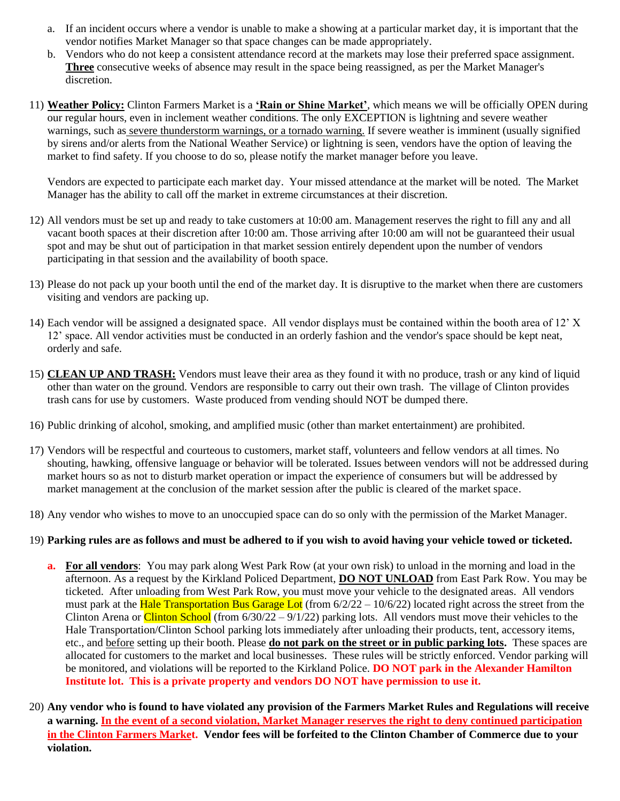- a. If an incident occurs where a vendor is unable to make a showing at a particular market day, it is important that the vendor notifies Market Manager so that space changes can be made appropriately.
- b. Vendors who do not keep a consistent attendance record at the markets may lose their preferred space assignment. **Three** consecutive weeks of absence may result in the space being reassigned, as per the Market Manager's discretion.
- 11) **Weather Policy:** Clinton Farmers Market is a **'Rain or Shine Market'**, which means we will be officially OPEN during our regular hours, even in inclement weather conditions. The only EXCEPTION is lightning and severe weather warnings, such as severe thunderstorm warnings, or a tornado warning. If severe weather is imminent (usually signified by sirens and/or alerts from the National Weather Service) or lightning is seen, vendors have the option of leaving the market to find safety. If you choose to do so, please notify the market manager before you leave.

Vendors are expected to participate each market day. Your missed attendance at the market will be noted. The Market Manager has the ability to call off the market in extreme circumstances at their discretion.

- 12) All vendors must be set up and ready to take customers at 10:00 am. Management reserves the right to fill any and all vacant booth spaces at their discretion after 10:00 am. Those arriving after 10:00 am will not be guaranteed their usual spot and may be shut out of participation in that market session entirely dependent upon the number of vendors participating in that session and the availability of booth space.
- 13) Please do not pack up your booth until the end of the market day. It is disruptive to the market when there are customers visiting and vendors are packing up.
- 14) Each vendor will be assigned a designated space. All vendor displays must be contained within the booth area of 12' X 12' space. All vendor activities must be conducted in an orderly fashion and the vendor's space should be kept neat, orderly and safe.
- 15) **CLEAN UP AND TRASH:** Vendors must leave their area as they found it with no produce, trash or any kind of liquid other than water on the ground. Vendors are responsible to carry out their own trash. The village of Clinton provides trash cans for use by customers. Waste produced from vending should NOT be dumped there.
- 16) Public drinking of alcohol, smoking, and amplified music (other than market entertainment) are prohibited.
- 17) Vendors will be respectful and courteous to customers, market staff, volunteers and fellow vendors at all times. No shouting, hawking, offensive language or behavior will be tolerated. Issues between vendors will not be addressed during market hours so as not to disturb market operation or impact the experience of consumers but will be addressed by market management at the conclusion of the market session after the public is cleared of the market space.
- 18) Any vendor who wishes to move to an unoccupied space can do so only with the permission of the Market Manager.

#### 19) **Parking rules are as follows and must be adhered to if you wish to avoid having your vehicle towed or ticketed.**

- **a. For all vendors**: You may park along West Park Row (at your own risk) to unload in the morning and load in the afternoon. As a request by the Kirkland Policed Department, **DO NOT UNLOAD** from East Park Row. You may be ticketed. After unloading from West Park Row, you must move your vehicle to the designated areas. All vendors must park at the Hale Transportation Bus Garage Lot (from  $6/2/22 - 10/6/22$ ) located right across the street from the Clinton Arena or Clinton School (from  $6/30/22 - 9/1/22$ ) parking lots. All vendors must move their vehicles to the Hale Transportation/Clinton School parking lots immediately after unloading their products, tent, accessory items, etc., and before setting up their booth. Please **do not park on the street or in public parking lots.** These spaces are allocated for customers to the market and local businesses. These rules will be strictly enforced. Vendor parking will be monitored, and violations will be reported to the Kirkland Police. **DO NOT park in the Alexander Hamilton Institute lot. This is a private property and vendors DO NOT have permission to use it.**
- 20) **Any vendor who is found to have violated any provision of the Farmers Market Rules and Regulations will receive a warning. In the event of a second violation, Market Manager reserves the right to deny continued participation in the Clinton Farmers Market. Vendor fees will be forfeited to the Clinton Chamber of Commerce due to your violation.**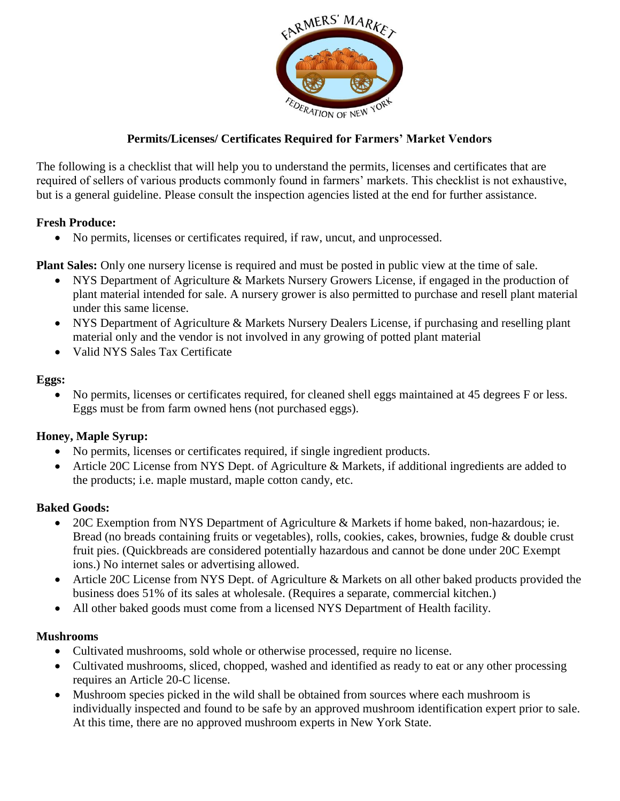

# **Permits/Licenses/ Certificates Required for Farmers' Market Vendors**

The following is a checklist that will help you to understand the permits, licenses and certificates that are required of sellers of various products commonly found in farmers' markets. This checklist is not exhaustive, but is a general guideline. Please consult the inspection agencies listed at the end for further assistance.

### **Fresh Produce:**

No permits, licenses or certificates required, if raw, uncut, and unprocessed.

**Plant Sales:** Only one nursery license is required and must be posted in public view at the time of sale.

- NYS Department of Agriculture & Markets Nursery Growers License, if engaged in the production of plant material intended for sale. A nursery grower is also permitted to purchase and resell plant material under this same license.
- NYS Department of Agriculture & Markets Nursery Dealers License, if purchasing and reselling plant material only and the vendor is not involved in any growing of potted plant material
- Valid NYS Sales Tax Certificate

#### **Eggs:**

• No permits, licenses or certificates required, for cleaned shell eggs maintained at 45 degrees F or less. Eggs must be from farm owned hens (not purchased eggs).

# **Honey, Maple Syrup:**

- No permits, licenses or certificates required, if single ingredient products.
- Article 20C License from NYS Dept. of Agriculture & Markets, if additional ingredients are added to the products; i.e. maple mustard, maple cotton candy, etc.

# **Baked Goods:**

- 20C Exemption from NYS Department of Agriculture & Markets if home baked, non-hazardous; ie. Bread (no breads containing fruits or vegetables), rolls, cookies, cakes, brownies, fudge & double crust fruit pies. (Quickbreads are considered potentially hazardous and cannot be done under 20C Exempt ions.) No internet sales or advertising allowed.
- Article 20C License from NYS Dept. of Agriculture & Markets on all other baked products provided the business does 51% of its sales at wholesale. (Requires a separate, commercial kitchen.)
- All other baked goods must come from a licensed NYS Department of Health facility.

#### **Mushrooms**

- Cultivated mushrooms, sold whole or otherwise processed, require no license.
- Cultivated mushrooms, sliced, chopped, washed and identified as ready to eat or any other processing requires an Article 20-C license.
- Mushroom species picked in the wild shall be obtained from sources where each mushroom is individually inspected and found to be safe by an approved mushroom identification expert prior to sale. At this time, there are no approved mushroom experts in New York State.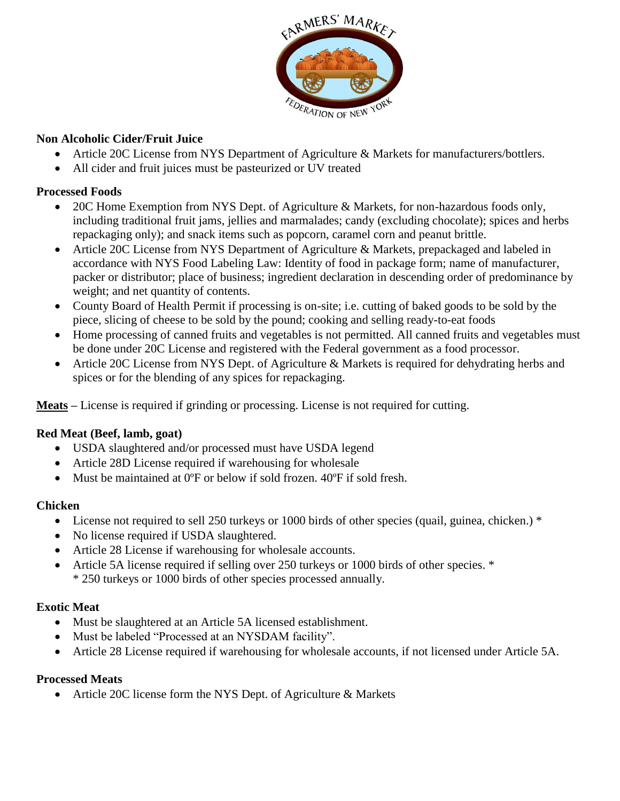

# **Non Alcoholic Cider/Fruit Juice**

- Article 20C License from NYS Department of Agriculture & Markets for manufacturers/bottlers.
- All cider and fruit juices must be pasteurized or UV treated

# **Processed Foods**

- 20C Home Exemption from NYS Dept. of Agriculture & Markets, for non-hazardous foods only, including traditional fruit jams, jellies and marmalades; candy (excluding chocolate); spices and herbs repackaging only); and snack items such as popcorn, caramel corn and peanut brittle.
- Article 20C License from NYS Department of Agriculture & Markets, prepackaged and labeled in accordance with NYS Food Labeling Law: Identity of food in package form; name of manufacturer, packer or distributor; place of business; ingredient declaration in descending order of predominance by weight; and net quantity of contents.
- County Board of Health Permit if processing is on-site; i.e. cutting of baked goods to be sold by the piece, slicing of cheese to be sold by the pound; cooking and selling ready-to-eat foods
- Home processing of canned fruits and vegetables is not permitted. All canned fruits and vegetables must be done under 20C License and registered with the Federal government as a food processor.
- Article 20C License from NYS Dept. of Agriculture & Markets is required for dehydrating herbs and spices or for the blending of any spices for repackaging.

**Meats –** License is required if grinding or processing. License is not required for cutting.

# **Red Meat (Beef, lamb, goat)**

- USDA slaughtered and/or processed must have USDA legend
- Article 28D License required if warehousing for wholesale
- Must be maintained at 0ºF or below if sold frozen. 40ºF if sold fresh.

# **Chicken**

- License not required to sell 250 turkeys or 1000 birds of other species (quail, guinea, chicken.) \*
- No license required if USDA slaughtered.
- Article 28 License if warehousing for wholesale accounts.
- Article 5A license required if selling over 250 turkeys or 1000 birds of other species. \* \* 250 turkeys or 1000 birds of other species processed annually.

# **Exotic Meat**

- Must be slaughtered at an Article 5A licensed establishment.
- Must be labeled "Processed at an NYSDAM facility".
- Article 28 License required if warehousing for wholesale accounts, if not licensed under Article 5A.

# **Processed Meats**

• Article 20C license form the NYS Dept. of Agriculture & Markets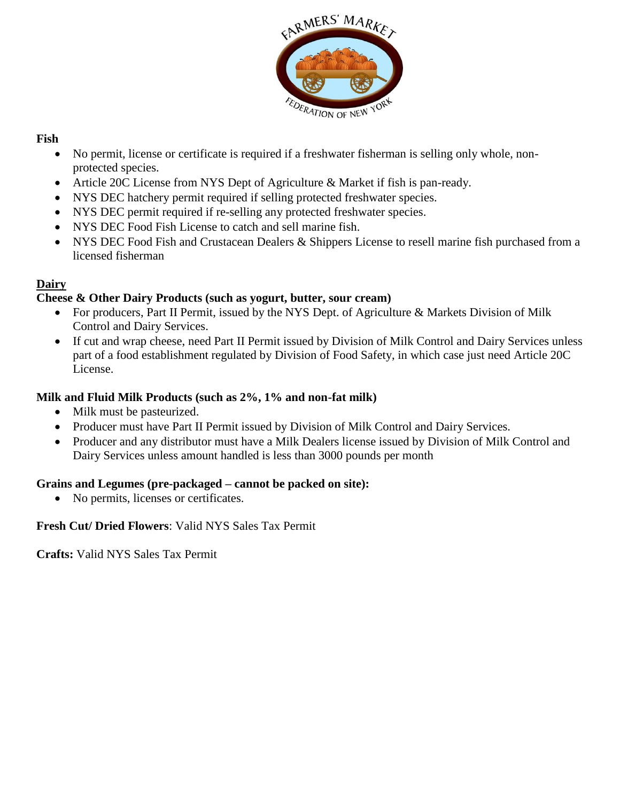

# **Fish**

- No permit, license or certificate is required if a freshwater fisherman is selling only whole, nonprotected species.
- Article 20C License from NYS Dept of Agriculture & Market if fish is pan-ready.
- NYS DEC hatchery permit required if selling protected freshwater species.
- NYS DEC permit required if re-selling any protected freshwater species.
- NYS DEC Food Fish License to catch and sell marine fish.
- NYS DEC Food Fish and Crustacean Dealers & Shippers License to resell marine fish purchased from a licensed fisherman

# **Dairy**

# **Cheese & Other Dairy Products (such as yogurt, butter, sour cream)**

- For producers, Part II Permit, issued by the NYS Dept. of Agriculture & Markets Division of Milk Control and Dairy Services.
- If cut and wrap cheese, need Part II Permit issued by Division of Milk Control and Dairy Services unless part of a food establishment regulated by Division of Food Safety, in which case just need Article 20C License.

### **Milk and Fluid Milk Products (such as 2%, 1% and non-fat milk)**

- Milk must be pasteurized.
- Producer must have Part II Permit issued by Division of Milk Control and Dairy Services.
- Producer and any distributor must have a Milk Dealers license issued by Division of Milk Control and Dairy Services unless amount handled is less than 3000 pounds per month

# **Grains and Legumes (pre-packaged – cannot be packed on site):**

• No permits, licenses or certificates.

# **Fresh Cut/ Dried Flowers**: Valid NYS Sales Tax Permit

**Crafts:** Valid NYS Sales Tax Permit